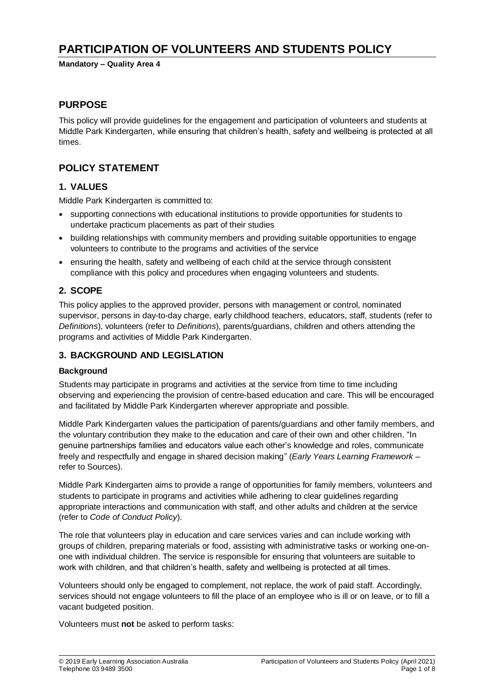# **PARTICIPATION OF VOLUNTEERS AND STUDENTS POLICY**

**Mandatory – Quality Area 4**

## **PURPOSE**

This policy will provide guidelines for the engagement and participation of volunteers and students at Middle Park Kindergarten, while ensuring that children's health, safety and wellbeing is protected at all times.

# **POLICY STATEMENT**

### **1. VALUES**

Middle Park Kindergarten is committed to:

- supporting connections with educational institutions to provide opportunities for students to undertake practicum placements as part of their studies
- building relationships with community members and providing suitable opportunities to engage volunteers to contribute to the programs and activities of the service
- ensuring the health, safety and wellbeing of each child at the service through consistent compliance with this policy and procedures when engaging volunteers and students.

### **2. SCOPE**

This policy applies to the approved provider, persons with management or control, nominated supervisor, persons in day-to-day charge, early childhood teachers, educators, staff, students (refer to *Definitions*), volunteers (refer to *Definitions*), parents/guardians, children and others attending the programs and activities of Middle Park Kindergarten.

### **3. BACKGROUND AND LEGISLATION**

#### **Background**

Students may participate in programs and activities at the service from time to time including observing and experiencing the provision of centre-based education and care. This will be encouraged and facilitated by Middle Park Kindergarten wherever appropriate and possible.

Middle Park Kindergarten values the participation of parents/guardians and other family members, and the voluntary contribution they make to the education and care of their own and other children. "In genuine partnerships families and educators value each other's knowledge and roles, communicate freely and respectfully and engage in shared decision making" (*Early Years Learning Framework –* refer to Sources).

Middle Park Kindergarten aims to provide a range of opportunities for family members, volunteers and students to participate in programs and activities while adhering to clear guidelines regarding appropriate interactions and communication with staff, and other adults and children at the service (refer to *Code of Conduct Policy*).

The role that volunteers play in education and care services varies and can include working with groups of children, preparing materials or food, assisting with administrative tasks or working one-onone with individual children. The service is responsible for ensuring that volunteers are suitable to work with children, and that children's health, safety and wellbeing is protected at all times.

Volunteers should only be engaged to complement, not replace, the work of paid staff. Accordingly, services should not engage volunteers to fill the place of an employee who is ill or on leave, or to fill a vacant budgeted position.

Volunteers must **not** be asked to perform tasks: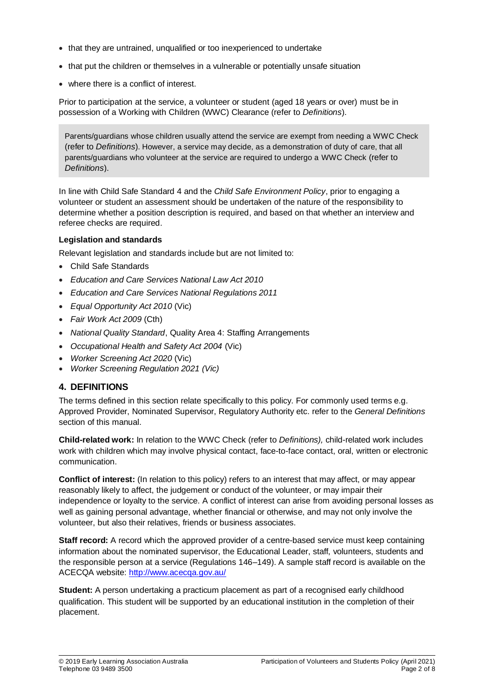- that they are untrained, unqualified or too inexperienced to undertake
- that put the children or themselves in a vulnerable or potentially unsafe situation
- where there is a conflict of interest.

Prior to participation at the service, a volunteer or student (aged 18 years or over) must be in possession of a Working with Children (WWC) Clearance (refer to *Definitions*).

Parents/guardians whose children usually attend the service are exempt from needing a WWC Check (refer to *Definitions*). However, a service may decide, as a demonstration of duty of care, that all parents/guardians who volunteer at the service are required to undergo a WWC Check (refer to *Definitions*).

In line with Child Safe Standard 4 and the *Child Safe Environment Policy*, prior to engaging a volunteer or student an assessment should be undertaken of the nature of the responsibility to determine whether a position description is required, and based on that whether an interview and referee checks are required.

#### **Legislation and standards**

Relevant legislation and standards include but are not limited to:

- Child Safe Standards
- *Education and Care Services National Law Act 2010*
- *Education and Care Services National Regulations 2011*
- *Equal Opportunity Act 2010* (Vic)
- *Fair Work Act 2009* (Cth)
- *National Quality Standard*, Quality Area 4: Staffing Arrangements
- *Occupational Health and Safety Act 2004* (Vic)
- *Worker Screening Act 2020* (Vic)
- *Worker Screening Regulation 2021 (Vic)*

### **4. DEFINITIONS**

The terms defined in this section relate specifically to this policy. For commonly used terms e.g. Approved Provider, Nominated Supervisor, Regulatory Authority etc. refer to the *General Definitions* section of this manual.

**Child-related work:** In relation to the WWC Check (refer to *Definitions),* child-related work includes work with children which may involve physical contact, face-to-face contact, oral, written or electronic communication.

**Conflict of interest:** (In relation to this policy) refers to an interest that may affect, or may appear reasonably likely to affect, the judgement or conduct of the volunteer, or may impair their independence or loyalty to the service. A conflict of interest can arise from avoiding personal losses as well as gaining personal advantage, whether financial or otherwise, and may not only involve the volunteer, but also their relatives, friends or business associates.

**Staff record:** A record which the approved provider of a centre-based service must keep containing information about the nominated supervisor, the Educational Leader, staff, volunteers, students and the responsible person at a service (Regulations 146–149). A sample staff record is available on the ACECQA website:<http://www.acecqa.gov.au/>

**Student:** A person undertaking a practicum placement as part of a recognised early childhood qualification. This student will be supported by an educational institution in the completion of their placement.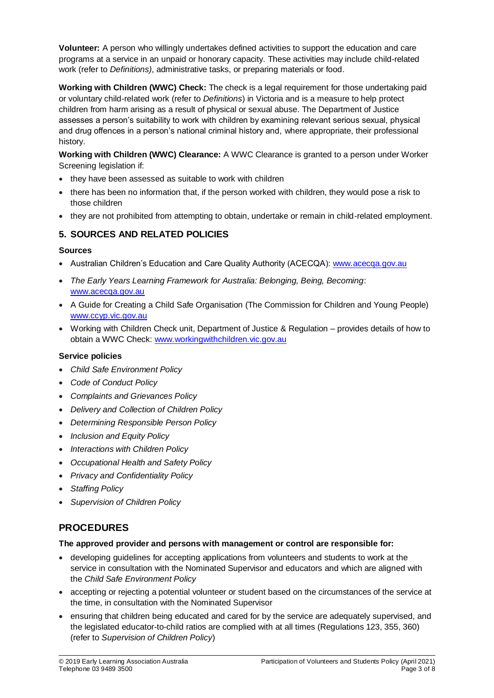**Volunteer:** A person who willingly undertakes defined activities to support the education and care programs at a service in an unpaid or honorary capacity. These activities may include child-related work (refer to *Definitions)*, administrative tasks, or preparing materials or food.

**Working with Children (WWC) Check:** The check is a legal requirement for those undertaking paid or voluntary child-related work (refer to *Definitions*) in Victoria and is a measure to help protect children from harm arising as a result of physical or sexual abuse. The Department of Justice assesses a person's suitability to work with children by examining relevant serious sexual, physical and drug offences in a person's national criminal history and, where appropriate, their professional history.

**Working with Children (WWC) Clearance:** A WWC Clearance is granted to a person under Worker Screening legislation if:

- they have been assessed as suitable to work with children
- there has been no information that, if the person worked with children, they would pose a risk to those children
- they are not prohibited from attempting to obtain, undertake or remain in child-related employment.

# **5. SOURCES AND RELATED POLICIES**

### **Sources**

- Australian Children's Education and Care Quality Authority (ACECQA): [www.acecqa.gov.au](http://www.acecqa.gov.au/)
- *The Early Years Learning Framework for Australia: Belonging, Being, Becoming*: [www.acecqa.gov.au](file://///kpv-sbs/data/BD&G/Communications/Publications/Policy%20Works/2017%20Final%20PolicyWorks/www.acecqa.gov.au)
- A Guide for Creating a Child Safe Organisation (The Commission for Children and Young People) [www.ccyp.vic.gov.au](file://///kpv-sbs/data/BD&G/Communications/Publications/Policy%20Works/2017%20Final%20PolicyWorks/www.ccyp.vic.gov.au)
- Working with Children Check unit, Department of Justice & Regulation provides details of how to obtain a WWC Check: [www.workingwithchildren.vic.gov.au](file://///kpv-sbs/data/BD&G/Communications/Publications/Policy%20Works/2017%20Final%20PolicyWorks/www.workingwithchildren.vic.gov.au)

## **Service policies**

- *Child Safe Environment Policy*
- *Code of Conduct Policy*
- *Complaints and Grievances Policy*
- *Delivery and Collection of Children Policy*
- *Determining Responsible Person Policy*
- *Inclusion and Equity Policy*
- *Interactions with Children Policy*
- *Occupational Health and Safety Policy*
- *Privacy and Confidentiality Policy*
- *Staffing Policy*
- *Supervision of Children Policy*

# **PROCEDURES**

### **The approved provider and persons with management or control are responsible for:**

- developing guidelines for accepting applications from volunteers and students to work at the service in consultation with the Nominated Supervisor and educators and which are aligned with the *Child Safe Environment Policy*
- accepting or rejecting a potential volunteer or student based on the circumstances of the service at the time, in consultation with the Nominated Supervisor
- ensuring that children being educated and cared for by the service are adequately supervised, and the legislated educator-to-child ratios are complied with at all times (Regulations 123, 355, 360) (refer to *Supervision of Children Policy*)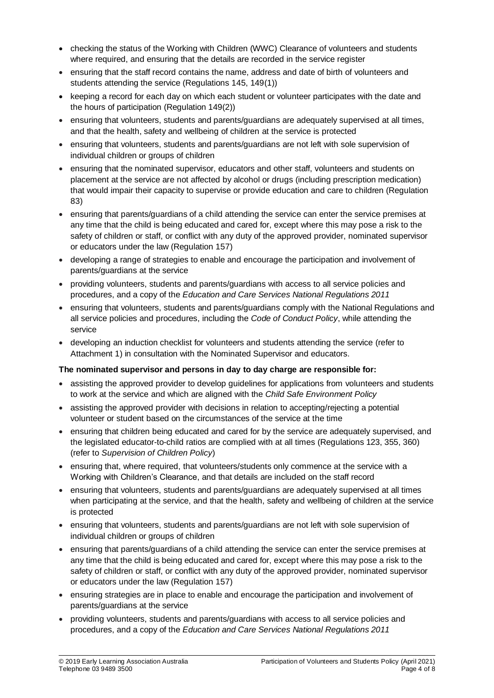- checking the status of the Working with Children (WWC) Clearance of volunteers and students where required, and ensuring that the details are recorded in the service register
- ensuring that the staff record contains the name, address and date of birth of volunteers and students attending the service (Regulations 145, 149(1))
- keeping a record for each day on which each student or volunteer participates with the date and the hours of participation (Regulation 149(2))
- ensuring that volunteers, students and parents/guardians are adequately supervised at all times, and that the health, safety and wellbeing of children at the service is protected
- ensuring that volunteers, students and parents/guardians are not left with sole supervision of individual children or groups of children
- ensuring that the nominated supervisor, educators and other staff, volunteers and students on placement at the service are not affected by alcohol or drugs (including prescription medication) that would impair their capacity to supervise or provide education and care to children (Regulation 83)
- ensuring that parents/guardians of a child attending the service can enter the service premises at any time that the child is being educated and cared for, except where this may pose a risk to the safety of children or staff, or conflict with any duty of the approved provider, nominated supervisor or educators under the law (Regulation 157)
- developing a range of strategies to enable and encourage the participation and involvement of parents/guardians at the service
- providing volunteers, students and parents/guardians with access to all service policies and procedures, and a copy of the *Education and Care Services National Regulations 2011*
- ensuring that volunteers, students and parents/guardians comply with the National Regulations and all service policies and procedures, including the *Code of Conduct Policy*, while attending the service
- developing an induction checklist for volunteers and students attending the service (refer to Attachment 1) in consultation with the Nominated Supervisor and educators.

### **The nominated supervisor and persons in day to day charge are responsible for:**

- assisting the approved provider to develop guidelines for applications from volunteers and students to work at the service and which are aligned with the *Child Safe Environment Policy*
- assisting the approved provider with decisions in relation to accepting/rejecting a potential volunteer or student based on the circumstances of the service at the time
- ensuring that children being educated and cared for by the service are adequately supervised, and the legislated educator-to-child ratios are complied with at all times (Regulations 123, 355, 360) (refer to *Supervision of Children Policy*)
- ensuring that, where required, that volunteers/students only commence at the service with a Working with Children's Clearance, and that details are included on the staff record
- ensuring that volunteers, students and parents/guardians are adequately supervised at all times when participating at the service, and that the health, safety and wellbeing of children at the service is protected
- ensuring that volunteers, students and parents/guardians are not left with sole supervision of individual children or groups of children
- ensuring that parents/guardians of a child attending the service can enter the service premises at any time that the child is being educated and cared for, except where this may pose a risk to the safety of children or staff, or conflict with any duty of the approved provider, nominated supervisor or educators under the law (Regulation 157)
- ensuring strategies are in place to enable and encourage the participation and involvement of parents/guardians at the service
- providing volunteers, students and parents/guardians with access to all service policies and procedures, and a copy of the *Education and Care Services National Regulations 2011*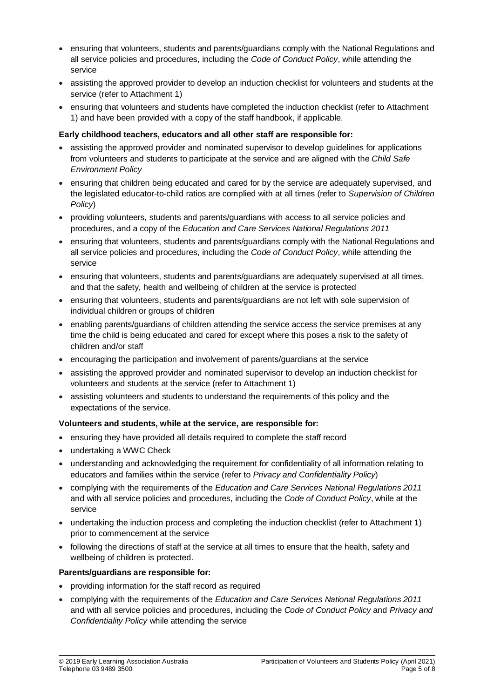- ensuring that volunteers, students and parents/guardians comply with the National Regulations and all service policies and procedures, including the *Code of Conduct Policy*, while attending the service
- assisting the approved provider to develop an induction checklist for volunteers and students at the service (refer to Attachment 1)
- ensuring that volunteers and students have completed the induction checklist (refer to Attachment 1) and have been provided with a copy of the staff handbook, if applicable.

#### **Early childhood teachers, educators and all other staff are responsible for:**

- assisting the approved provider and nominated supervisor to develop guidelines for applications from volunteers and students to participate at the service and are aligned with the *Child Safe Environment Policy*
- ensuring that children being educated and cared for by the service are adequately supervised, and the legislated educator-to-child ratios are complied with at all times (refer to *Supervision of Children Policy*)
- providing volunteers, students and parents/guardians with access to all service policies and procedures, and a copy of the *Education and Care Services National Regulations 2011*
- ensuring that volunteers, students and parents/guardians comply with the National Regulations and all service policies and procedures, including the *Code of Conduct Policy*, while attending the service
- ensuring that volunteers, students and parents/guardians are adequately supervised at all times, and that the safety, health and wellbeing of children at the service is protected
- ensuring that volunteers, students and parents/guardians are not left with sole supervision of individual children or groups of children
- enabling parents/guardians of children attending the service access the service premises at any time the child is being educated and cared for except where this poses a risk to the safety of children and/or staff
- encouraging the participation and involvement of parents/guardians at the service
- assisting the approved provider and nominated supervisor to develop an induction checklist for volunteers and students at the service (refer to Attachment 1)
- assisting volunteers and students to understand the requirements of this policy and the expectations of the service.

#### **Volunteers and students, while at the service, are responsible for:**

- ensuring they have provided all details required to complete the staff record
- undertaking a WWC Check
- understanding and acknowledging the requirement for confidentiality of all information relating to educators and families within the service (refer to *Privacy and Confidentiality Policy*)
- complying with the requirements of the *Education and Care Services National Regulations 2011* and with all service policies and procedures, including the *Code of Conduct Policy*, while at the service
- undertaking the induction process and completing the induction checklist (refer to Attachment 1) prior to commencement at the service
- following the directions of staff at the service at all times to ensure that the health, safety and wellbeing of children is protected.

#### **Parents/guardians are responsible for:**

- providing information for the staff record as required
- complying with the requirements of the *Education and Care Services National Regulations 2011* and with all service policies and procedures, including the *Code of Conduct Policy* and *Privacy and Confidentiality Policy* while attending the service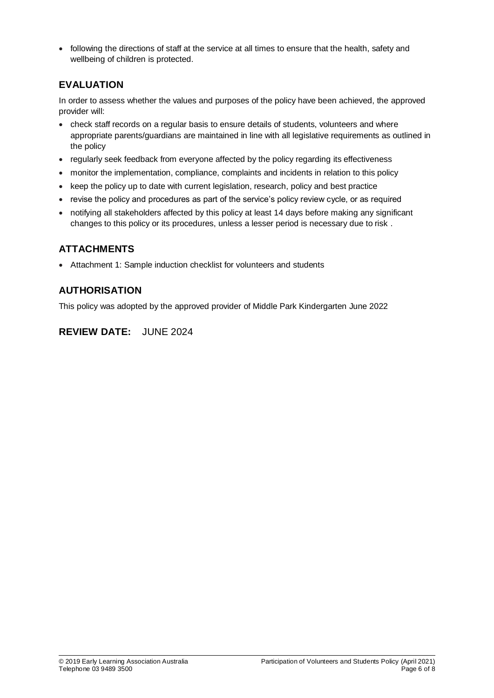following the directions of staff at the service at all times to ensure that the health, safety and wellbeing of children is protected.

# **EVALUATION**

In order to assess whether the values and purposes of the policy have been achieved, the approved provider will:

- check staff records on a regular basis to ensure details of students, volunteers and where appropriate parents/guardians are maintained in line with all legislative requirements as outlined in the policy
- regularly seek feedback from everyone affected by the policy regarding its effectiveness
- monitor the implementation, compliance, complaints and incidents in relation to this policy
- keep the policy up to date with current legislation, research, policy and best practice
- revise the policy and procedures as part of the service's policy review cycle, or as required
- notifying all stakeholders affected by this policy at least 14 days before making any significant changes to this policy or its procedures, unless a lesser period is necessary due to risk .

# **ATTACHMENTS**

Attachment 1: Sample induction checklist for volunteers and students

# **AUTHORISATION**

This policy was adopted by the approved provider of Middle Park Kindergarten June 2022

# **REVIEW DATE:** JUNE 2024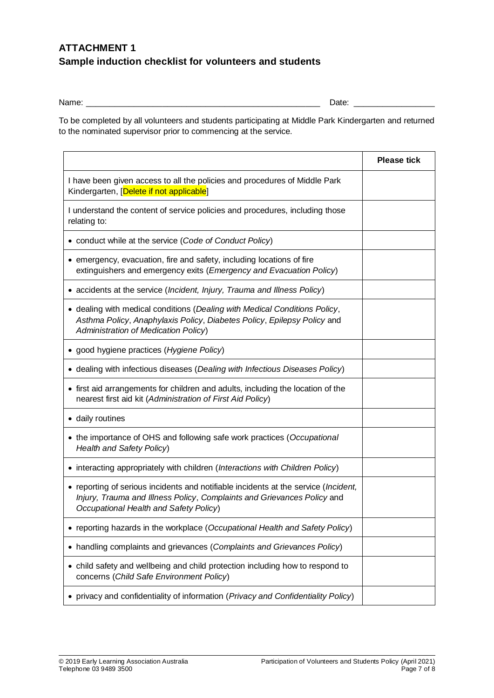# **ATTACHMENT 1 Sample induction checklist for volunteers and students**

Name: \_\_\_\_\_\_\_\_\_\_\_\_\_\_\_\_\_\_\_\_\_\_\_\_\_\_\_\_\_\_\_\_\_\_\_\_\_\_\_\_\_\_\_\_\_\_\_\_\_ Date: \_\_\_\_\_\_\_\_\_\_\_\_\_\_\_\_\_

To be completed by all volunteers and students participating at Middle Park Kindergarten and returned to the nominated supervisor prior to commencing at the service.

|                                                                                                                                                                                                                   | <b>Please tick</b> |
|-------------------------------------------------------------------------------------------------------------------------------------------------------------------------------------------------------------------|--------------------|
| I have been given access to all the policies and procedures of Middle Park<br>Kindergarten, [Delete if not applicable]                                                                                            |                    |
| I understand the content of service policies and procedures, including those<br>relating to:                                                                                                                      |                    |
| • conduct while at the service (Code of Conduct Policy)                                                                                                                                                           |                    |
| • emergency, evacuation, fire and safety, including locations of fire<br>extinguishers and emergency exits (Emergency and Evacuation Policy)                                                                      |                    |
| • accidents at the service (Incident, Injury, Trauma and Illness Policy)                                                                                                                                          |                    |
| • dealing with medical conditions (Dealing with Medical Conditions Policy,<br>Asthma Policy, Anaphylaxis Policy, Diabetes Policy, Epilepsy Policy and<br>Administration of Medication Policy)                     |                    |
| • good hygiene practices (Hygiene Policy)                                                                                                                                                                         |                    |
| • dealing with infectious diseases (Dealing with Infectious Diseases Policy)                                                                                                                                      |                    |
| • first aid arrangements for children and adults, including the location of the<br>nearest first aid kit (Administration of First Aid Policy)                                                                     |                    |
| • daily routines                                                                                                                                                                                                  |                    |
| • the importance of OHS and following safe work practices (Occupational<br><b>Health and Safety Policy)</b>                                                                                                       |                    |
| • interacting appropriately with children (Interactions with Children Policy)                                                                                                                                     |                    |
| • reporting of serious incidents and notifiable incidents at the service ( <i>Incident</i> ,<br>Injury, Trauma and Illness Policy, Complaints and Grievances Policy and<br>Occupational Health and Safety Policy) |                    |
| • reporting hazards in the workplace (Occupational Health and Safety Policy)                                                                                                                                      |                    |
| handling complaints and grievances (Complaints and Grievances Policy)                                                                                                                                             |                    |
| • child safety and wellbeing and child protection including how to respond to<br>concerns (Child Safe Environment Policy)                                                                                         |                    |
| privacy and confidentiality of information (Privacy and Confidentiality Policy)                                                                                                                                   |                    |